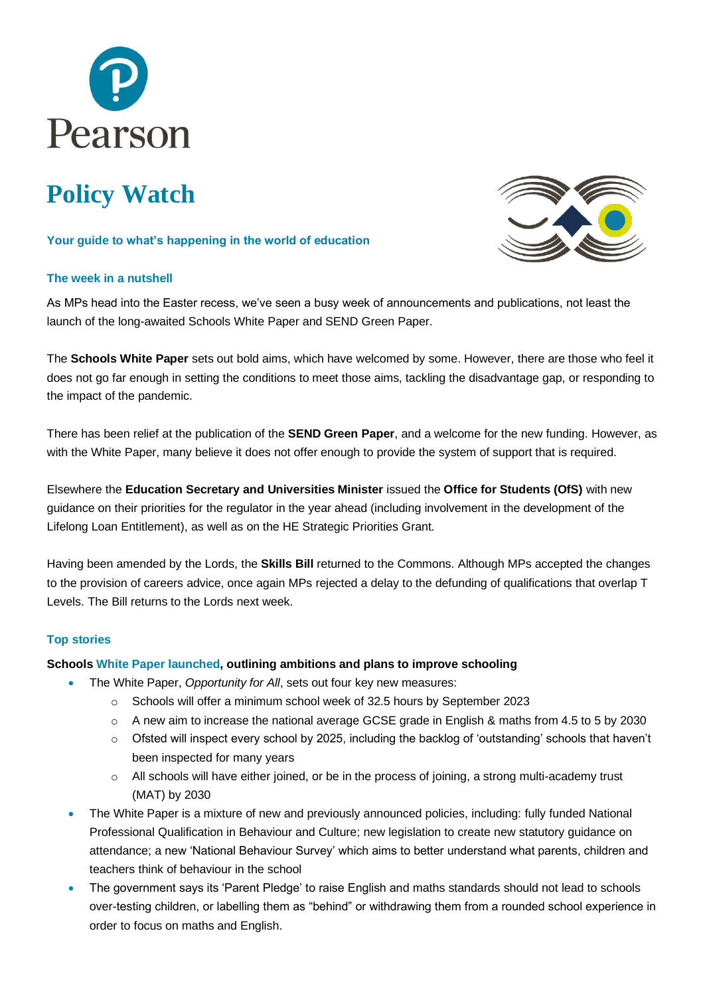

# **Policy Watch**

## **Your guide to what's happening in the world of education**

# **The week in a nutshell**



As MPs head into the Easter recess, we've seen a busy week of announcements and publications, not least the launch of the long-awaited Schools White Paper and SEND Green Paper.

The **Schools White Paper** sets out bold aims, which have welcomed by some. However, there are those who feel it does not go far enough in setting the conditions to meet those aims, tackling the disadvantage gap, or responding to the impact of the pandemic.

There has been relief at the publication of the **SEND Green Paper**, and a welcome for the new funding. However, as with the White Paper, many believe it does not offer enough to provide the system of support that is required.

Elsewhere the **Education Secretary and Universities Minister** issued the **Office for Students (OfS)** with new guidance on their priorities for the regulator in the year ahead (including involvement in the development of the Lifelong Loan Entitlement), as well as on the HE Strategic Priorities Grant.

Having been amended by the Lords, the **Skills Bill** returned to the Commons. Although MPs accepted the changes to the provision of careers advice, once again MPs rejected a delay to the defunding of qualifications that overlap T Levels. The Bill returns to the Lords next week.

## **Top stories**

## **Schools [White Paper launched,](https://www.gov.uk/government/publications/opportunity-for-all-strong-schools-with-great-teachers-for-your-child) outlining ambitions and plans to improve schooling**

- The White Paper, *Opportunity for All*, sets out four key new measures:
	- o Schools will offer a minimum school week of 32.5 hours by September 2023
	- o A new aim to increase the national average GCSE grade in English & maths from 4.5 to 5 by 2030
	- o Ofsted will inspect every school by 2025, including the backlog of 'outstanding' schools that haven't been inspected for many years
	- $\circ$  All schools will have either joined, or be in the process of joining, a strong multi-academy trust (MAT) by 2030
- The White Paper is a mixture of new and previously announced policies, including: fully funded National Professional Qualification in Behaviour and Culture; new legislation to create new statutory guidance on attendance; a new 'National Behaviour Survey' which aims to better understand what parents, children and teachers think of behaviour in the school
- The government says its 'Parent Pledge' to raise English and maths standards should not lead to schools over-testing children, or labelling them as "behind" or withdrawing them from a rounded school experience in order to focus on maths and English.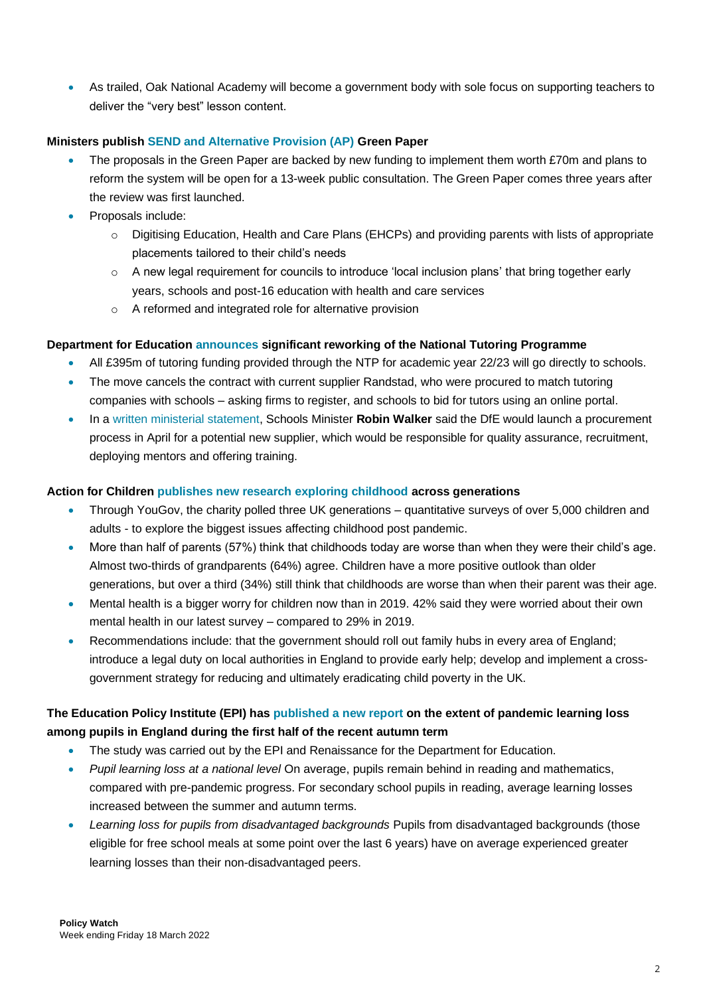• As trailed, Oak National Academy will become a government body with sole focus on supporting teachers to deliver the "very best" lesson content.

## **Ministers publis[h SEND and Alternative Provision \(AP\)](https://bit.ly/3tMq5aO) Green Paper**

- The proposals in the Green Paper are backed by new funding to implement them worth £70m and plans to reform the system will be open for a 13-week public consultation. The Green Paper comes three years after the review was first launched.
- Proposals include:
	- o Digitising Education, Health and Care Plans (EHCPs) and providing parents with lists of appropriate placements tailored to their child's needs
	- $\circ$  A new legal requirement for councils to introduce 'local inclusion plans' that bring together early years, schools and post-16 education with health and care services
	- o A reformed and integrated role for alternative provision

## **Department for Education [announces](https://www.gov.uk/government/news/national-tutoring-programme-simplified-to-reach-as-many-pupils-as-possible?utm_medium=email&utm_campaign=govuk-notifications-topic&utm_source=204d1fa4-aecb-43a0-8b75-1296a117d07b&utm_content=immediately) significant reworking of the National Tutoring Programme**

- All £395m of tutoring funding provided through the NTP for academic year 22/23 will go directly to schools.
- The move cancels the contract with current supplier Randstad, who were procured to match tutoring companies with schools – asking firms to register, and schools to bid for tutors using an online portal.
- In a [written ministerial statement,](https://questions-statements.parliament.uk/written-statements/detail/2022-03-31/hcws755) Schools Minister **Robin Walker** said the DfE would launch a procurement process in April for a potential new supplier, which would be responsible for quality assurance, recruitment, deploying mentors and offering training.

## **Action for Children publishes [new research exploring childhood](https://www.actionforchildren.org.uk/media-centre/almost-a-third-of-children-in-the-uk-worry-about-their-family-having-enough-money/) across generations**

- Through YouGov, the charity polled three UK generations quantitative surveys of over 5,000 children and adults - to explore the biggest issues affecting childhood post pandemic.
- More than half of parents (57%) think that childhoods today are worse than when they were their child's age. Almost two-thirds of grandparents (64%) agree. Children have a more positive outlook than older generations, but over a third (34%) still think that childhoods are worse than when their parent was their age.
- Mental health is a bigger worry for children now than in 2019. 42% said they were worried about their own mental health in our latest survey – compared to 29% in 2019.
- Recommendations include: that the government should roll out family hubs in every area of England; introduce a legal duty on local authorities in England to provide early help; develop and implement a crossgovernment strategy for reducing and ultimately eradicating child poverty in the UK.

# **The Education Policy Institute (EPI) has [published a new report](https://assets.publishing.service.gov.uk/government/uploads/system/uploads/attachment_data/file/1063488/Understanding_Progress_in_the_2020_to_2021_Academic_Year_Extension_report_covering_the_first_half_of_the_autumn_term_2021.pdf) on the extent of pandemic learning loss among pupils in England during the first half of the recent autumn term**

- The study was carried out by the EPI and Renaissance for the Department for Education.
- *Pupil learning loss at a national level* On average, pupils remain behind in reading and mathematics, compared with pre-pandemic progress. For secondary school pupils in reading, average learning losses increased between the summer and autumn terms.
- *Learning loss for pupils from disadvantaged backgrounds* Pupils from disadvantaged backgrounds (those eligible for free school meals at some point over the last 6 years) have on average experienced greater learning losses than their non-disadvantaged peers.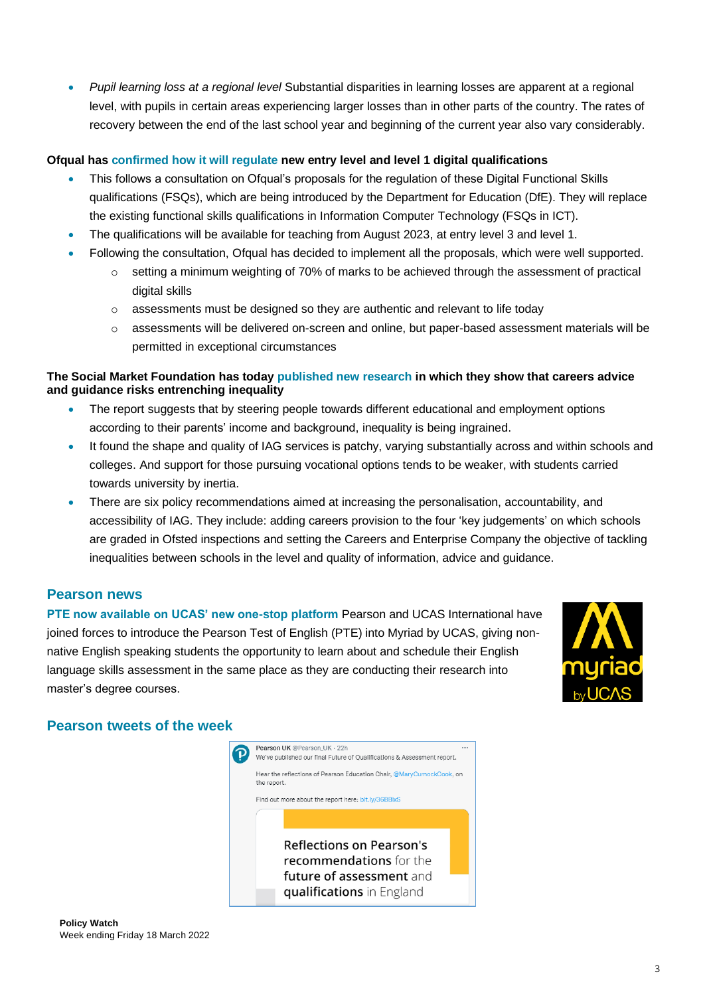• *Pupil learning loss at a regional level* Substantial disparities in learning losses are apparent at a regional level, with pupils in certain areas experiencing larger losses than in other parts of the country. The rates of recovery between the end of the last school year and beginning of the current year also vary considerably.

## **Ofqual has [confirmed how it will regulate](https://www.gov.uk/government/news/rules-set-for-new-digital-functional-skills-qualifications) new entry level and level 1 digital qualifications**

- This follows a consultation on Ofqual's proposals for the regulation of these Digital Functional Skills qualifications (FSQs), which are being introduced by the Department for Education (DfE). They will replace the existing functional skills qualifications in Information Computer Technology (FSQs in ICT).
- The qualifications will be available for teaching from August 2023, at entry level 3 and level 1.
- Following the consultation, Ofqual has decided to implement all the proposals, which were well supported.
	- $\circ$  setting a minimum weighting of 70% of marks to be achieved through the assessment of practical digital skills
	- $\circ$  assessments must be designed so they are authentic and relevant to life today
	- o assessments will be delivered on-screen and online, but paper-based assessment materials will be permitted in exceptional circumstances

## **The Social Market Foundation has today [published new research](https://www.smf.co.uk/careers-advice-driving-inequality-in-education-report-shows/) in which they show that careers advice and guidance risks entrenching inequality**

- The report suggests that by steering people towards different educational and employment options according to their parents' income and background, inequality is being ingrained.
- It found the shape and quality of IAG services is patchy, varying substantially across and within schools and colleges. And support for those pursuing vocational options tends to be weaker, with students carried towards university by inertia.
- There are six policy recommendations aimed at increasing the personalisation, accountability, and accessibility of IAG. They include: adding careers provision to the four 'key judgements' on which schools are graded in Ofsted inspections and setting the Careers and Enterprise Company the objective of tackling inequalities between schools in the level and quality of information, advice and guidance.

# **Pearson news**

**[PTE now available on UCAS' new one-stop platform](https://www.pearsonpte.com/news/leading-english-language-test-pte-now-available-on-ucas-new-one-stop)** Pearson and UCAS International have joined forces to introduce the Pearson Test of English (PTE) into Myriad by UCAS, giving nonnative English speaking students the opportunity to learn about and schedule their English language skills assessment in the same place as they are conducting their research into master's degree courses.



# **Pearson tweets of the week**

Pearson UK @Pearson\_UK · 22h  $\left[ \mathbf{p}\right]$ We've published our final Future of Oualifications & Assessment report. Hear the reflections of Pearson Education Chair, @MaryCurnockCook, on the renort Find out more about the report here: bit.ly/36BBlxS **Reflections on Pearson's** recommendations for the future of assessment and qualifications in England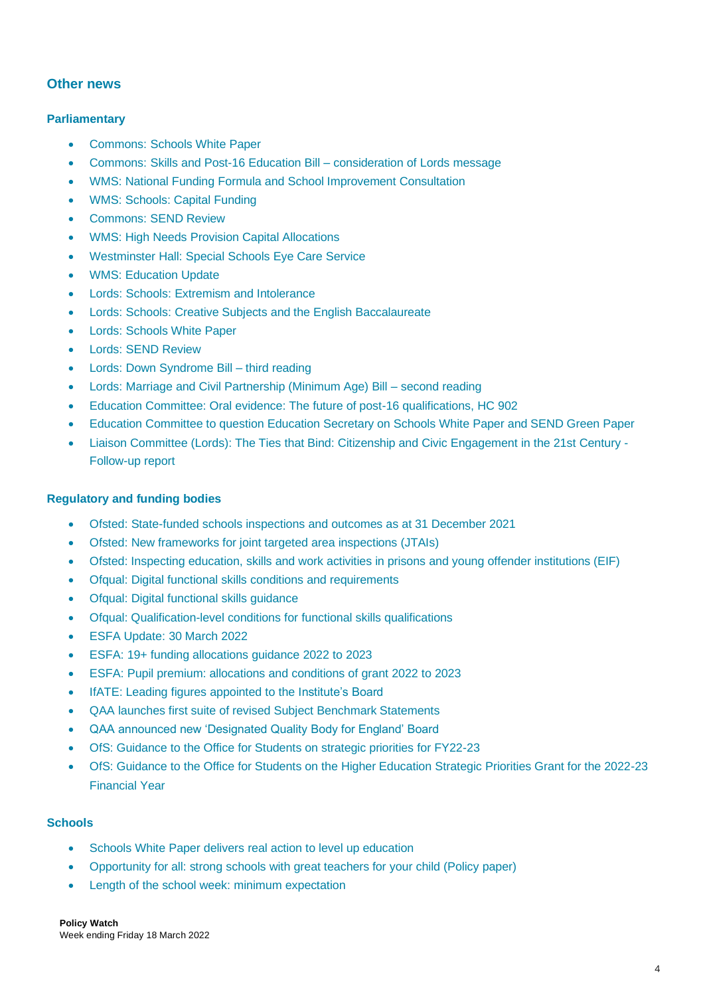# **Other news**

## **Parliamentary**

- Commons: [Schools White Paper](https://hansard.parliament.uk/commons/2022-03-28/debates/9A4CD42B-7990-43ED-91FD-B9A99F362EBC/SchoolsWhitePaper)
- [Commons: Skills and Post-16 Education Bill –](https://hansard.parliament.uk/commons/2022-03-28/debates/2D37EACA-0A5B-4411-826C-63417387B248/SkillsAndPost-16EducationBill(Lords)) consideration of Lords message
- [WMS: National Funding Formula and School Improvement Consultation](https://hansard.parliament.uk/commons/2022-03-28/debates/22032820000015/NationalFundingFormulaAndSchoolImprovementConsultation)
- [WMS: Schools: Capital Funding](https://hansard.parliament.uk/commons/2022-03-28/debates/22032820000016/SchoolsCapitalFunding)
- [Commons: SEND Review](https://hansard.parliament.uk/commons/2022-03-29/debates/BA5ECF7C-E120-4602-8BCF-6DB70D9CFF40/SpecialEducationalNeedsAndDisabilitiesReview)
- [WMS: High Needs Provision Capital Allocations](https://hansard.parliament.uk/commons/2022-03-29/debates/22032981000019/HighNeedsProvisionCapitalAllocations)
- [Westminster Hall: Special Schools Eye Care Service](https://hansard.parliament.uk/commons/2022-03-30/debates/7C9A6CA6-A909-4B71-AB88-C7B391944D58/SpecialSchoolsEyeCareService)
- [WMS: Education Update](https://hansard.parliament.uk/commons/2022-03-31/debates/22033139000019/EducationUpdate)
- [Lords: Schools: Extremism and Intolerance](https://hansard.parliament.uk/lords/2022-03-28/debates/7D239720-9C29-48AF-BEC0-94D27331CCBD/SchoolsExtremismAndIntolerance)
- [Lords: Schools: Creative Subjects and the English Baccalaureate](https://hansard.parliament.uk/lords/2022-03-29/debates/29BC1A86-5758-45A1-B0D0-CE4A3F21C3D9/SchoolsCreativeSubjectsAndTheEnglishBaccalaureate)
- [Lords: Schools White Paper](https://hansard.parliament.uk/lords/2022-03-29/debates/C080A044-D7A9-4F78-A1D0-321D579E83ED/SchoolsWhitePaper)
- [Lords: SEND Review](https://hansard.parliament.uk/lords/2022-03-30/debates/7B28DAB5-8E50-451A-8830-50AAAAEB3690/SpecialEducationalNeedsAndDisabilitiesReview)
- [Lords: Down Syndrome Bill –](https://hansard.parliament.uk/lords/2022-04-01/debates/1F454329-235C-4BA8-989C-406ADFFF4977/DownSyndromeBill) third reading
- [Lords: Marriage and Civil Partnership \(Minimum Age\) Bill –](https://hansard.parliament.uk/lords/2022-04-01/debates/7CF2AC16-56E7-4AC8-B9BD-298AAA98D4E2/MarriageAndCivilPartnership(MinimumAge)Bill) second reading
- [Education Committee: Oral evidence: The future of post-16 qualifications, HC 902](https://committees.parliament.uk/oralevidence/10031/pdf/)
- [Education Committee to question Education Secretary on Schools White Paper and SEND Green Paper](https://committees.parliament.uk/committee/203/education-committee/news/165288/education-committee-to-question-education-secretary-on-schools-white-paper-and-send-green-paper/)
- [Liaison Committee \(Lords\): The Ties that Bind: Citizenship and Civic Engagement in the 21st Century -](https://publications.parliament.uk/pa/ld5802/ldselect/ldliaison/179/179.pdf) [Follow-up report](https://publications.parliament.uk/pa/ld5802/ldselect/ldliaison/179/179.pdf)

## **Regulatory and funding bodies**

- [Ofsted: State-funded schools inspections and outcomes as at 31 December 2021](https://www.gov.uk/government/statistics/state-funded-school-inspections-and-outcomes-as-at-31-december-2021/state-funded-schools-inspections-and-outcomes-as-at-31-december-2021)
- [Ofsted: New frameworks for joint targeted area inspections \(JTAIs\)](https://www.gov.uk/government/news/new-frameworks-for-joint-targeted-area-inspections-jtais?utm_medium=email&utm_campaign=govuk-notifications-topic&utm_source=43dc61df-78d6-4efa-ac61-caa8d5d3e4cd&utm_content=immediately)
- [Ofsted: Inspecting education, skills and work activities in prisons and young offender institutions \(EIF\)](https://www.gov.uk/government/publications/inspecting-education-skills-and-work-activities-in-prisons-and-young-offender-institutions-eif)
- [Ofqual: Digital functional skills conditions and requirements](https://www.gov.uk/government/publications/digital-functional-skills-conditions-and-requirements)
- Ofqual: [Digital functional skills guidance](https://www.gov.uk/government/publications/digital-functional-skills-guidance)
- Ofqual: [Qualification-level conditions for functional skills qualifications](https://www.gov.uk/government/publications/qualification-level-conditions-for-functional-skills-qualifications)
- [ESFA Update: 30 March 2022](https://www.gov.uk/government/publications/esfa-update-30-march-2022)
- [ESFA: 19+ funding allocations guidance 2022 to 2023](https://www.gov.uk/government/publications/19-funding-allocations-guidance-2022-to-2023)
- [ESFA: Pupil premium: allocations and conditions of grant 2022 to 2023](https://www.gov.uk/government/publications/pupil-premium-allocations-and-conditions-of-grant-2022-to-2023?utm_medium=email&utm_campaign=govuk-notifications-topic&utm_source=17e11ce5-1d28-43e2-a643-2e62190ffbc8&utm_content=immediately)
- [IfATE: Leading figures appointed to the Institute's Board](https://www.instituteforapprenticeships.org/about/newshub/news-events/leading-figures-appointed-to-the-institute-s-board/)
- [QAA launches first suite of revised Subject Benchmark Statements](https://www.qaa.ac.uk/news-events/news/qaa-launches-first-suite-of-revised-subject-benchmark-statements)
- [QAA announced new 'Designated Quality Body for England' Board](https://www.qaa.ac.uk/news-events/news/qaa-announces-new-designated-quality-body-for-england-board)
- [OfS: Guidance to the Office for Students on strategic priorities for FY22-23](https://www.officeforstudents.org.uk/media/64e0a177-e78d-4d74-b6a0-81dd60dbb5c7/ofs-strategic-guidance-20220331.pdf)
- [OfS: Guidance to the Office for Students on the Higher Education Strategic Priorities Grant for the 2022-23](https://www.officeforstudents.org.uk/media/56b2af67-9f08-435c-88bd-4479c50cb09a/strategic-priorities-grant-20220331.pdf)  [Financial Year](https://www.officeforstudents.org.uk/media/56b2af67-9f08-435c-88bd-4479c50cb09a/strategic-priorities-grant-20220331.pdf)

## **Schools**

- [Schools White Paper delivers real action to level up education](https://www.gov.uk/government/news/schools-white-paper-delivers-real-action-to-level-up-education)
- [Opportunity for all: strong schools with great teachers for your child \(Policy paper\)](https://www.gov.uk/government/publications/opportunity-for-all-strong-schools-with-great-teachers-for-your-child)
- [Length of the school week: minimum expectation](https://www.gov.uk/government/publications/length-of-the-school-week-minimum-expectation)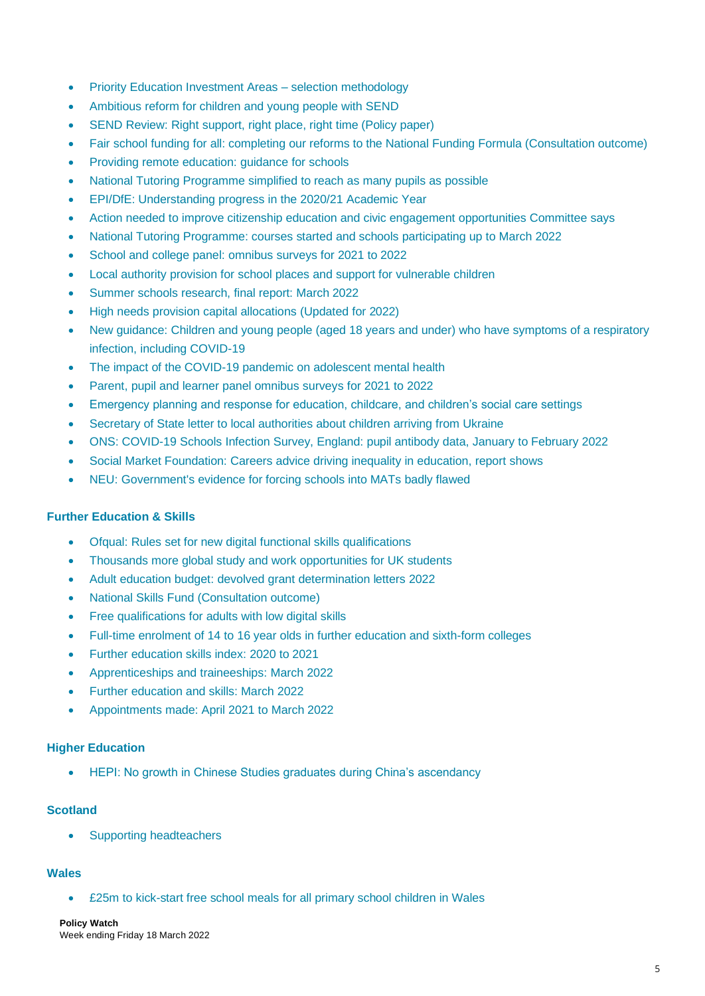- [Priority Education Investment Areas –](https://assets.publishing.service.gov.uk/government/uploads/system/uploads/attachment_data/file/1063088/Priority_EIA_selection_methodology_FINAL.pdf) selection methodology
- [Ambitious reform for children and young people with SEND](https://www.gov.uk/government/news/ambitious-reform-for-children-and-young-people-with-send)
- [SEND Review: Right support, right place, right time \(Policy paper\)](https://assets.publishing.service.gov.uk/government/uploads/system/uploads/attachment_data/file/1063620/SEND_review_right_support_right_place_right_time_accessible.pdf)
- [Fair school funding for all: completing our reforms to the National Funding Formula \(Consultation outcome\)](https://www.gov.uk/government/consultations/fair-school-funding-for-all-completing-our-reforms-to-the-national-funding-formula)
- [Providing remote education: guidance for schools](https://www.gov.uk/government/publications/providing-remote-education-guidance-for-schools)
- [National Tutoring Programme simplified to reach as many pupils as possible](https://www.gov.uk/government/news/national-tutoring-programme-simplified-to-reach-as-many-pupils-as-possible?utm_medium=email&utm_campaign=govuk-notifications-topic&utm_source=204d1fa4-aecb-43a0-8b75-1296a117d07b&utm_content=immediately)
- [EPI/DfE: Understanding progress in the 2020/21 Academic Year](https://epi.org.uk/publications-and-research/epi-research-for-the-department-for-education-on-pupil-learning-loss-march-2022/)
- [Action needed to improve citizenship education and civic engagement opportunities Committee says](https://committees.parliament.uk/committee/187/liaison-committee-lords/news/165146/action-needed-to-improve-citizenship-education-and-civic-engagement-opportunities-committee-says/)
- National [Tutoring Programme: courses started and schools participating up to March 2022](https://explore-education-statistics.service.gov.uk/find-statistics/national-tutoring-programme/2022-march)
- [School and college panel: omnibus surveys for 2021 to 2022](https://www.gov.uk/government/publications/school-and-college-panel-omnibus-surveys-for-2021-to-2022?utm_medium=email&utm_campaign=govuk-notifications-topic&utm_source=56d9d9f1-dd60-4dac-bf44-a4cd17d7f039&utm_content=immediately)
- [Local authority provision for school places and support for vulnerable children](https://www.gov.uk/government/publications/local-authority-provision-for-school-places-and-support-for-vulnerable-children)
- [Summer schools research, final report: March 2022](https://www.gov.uk/government/publications/summer-schools-final-report)
- [High needs provision capital allocations \(Updated for 2022\)](https://www.gov.uk/government/publications/high-needs-provision-capital-allocations)
- [New guidance: Children and young people \(aged 18 years and under\) who have symptoms of a respiratory](https://www.gov.uk/guidance/people-with-symptoms-of-a-respiratory-infection-including-covid-19#children-and-young-people-aged-18-years-and-under-who-have-symptoms-of-a-respiratory-infection-including-covid-19)  [infection, including COVID-19](https://www.gov.uk/guidance/people-with-symptoms-of-a-respiratory-infection-including-covid-19#children-and-young-people-aged-18-years-and-under-who-have-symptoms-of-a-respiratory-infection-including-covid-19)
- [The impact of the COVID-19 pandemic on adolescent mental health](https://www.gov.uk/government/publications/the-impact-of-the-covid-19-pandemic-on-adolescent-mental-health)
- [Parent, pupil and learner panel omnibus surveys for 2021 to 2022](https://www.gov.uk/government/publications/parent-pupil-and-learner-panel-omnibus-surveys-for-2021-to-2022)
- [Emergency planning and response for education, childcare, and children's social care settings](https://www.gov.uk/government/publications/emergency-planning-and-response-for-education-childcare-and-childrens-social-care-settings)
- [Secretary of State letter to local authorities about children arriving from Ukraine](https://assets.publishing.service.gov.uk/government/uploads/system/uploads/attachment_data/file/1065925/SoS_letter_to_LAs_Ukraine.pdf)
- [ONS: COVID-19 Schools Infection Survey, England: pupil antibody data, January to February 2022](https://www.ons.gov.uk/releases/covid19schoolsinfectionsurveyenglandpupilantibodydatajanuarytofebruary2022)
- [Social Market Foundation: Careers advice driving inequality in education, report shows](https://www.smf.co.uk/careers-advice-driving-inequality-in-education-report-shows/)
- [NEU: Government's evidence for forcing schools into MATs badly flawed](https://neu.org.uk/press-releases/governments-evidence-forcing-schools-mats-badly-flawed)

## **Further Education & Skills**

- [Ofqual: Rules set for new digital functional skills qualifications](https://www.gov.uk/government/news/rules-set-for-new-digital-functional-skills-qualifications)
- [Thousands more global study and work opportunities for UK students](https://www.gov.uk/government/news/thousands-more-global-study-and-work-opportunities-for-uk-students)
- [Adult education budget: devolved grant determination letters 2022](https://www.gov.uk/government/publications/adult-education-budget-devolved-grant-determination-letters-2022)
- [National Skills Fund \(Consultation outcome\)](https://www.gov.uk/government/consultations/national-skills-fund)
- [Free qualifications for adults with low digital skills](https://www.gov.uk/guidance/free-qualifications-for-adults-with-low-digital-skills)
- [Full-time enrolment of 14 to 16 year olds in further education and sixth-form colleges](https://www.gov.uk/guidance/full-time-enrolment-of-14-to-16-year-olds-in-further-education-and-sixth-form-colleges)
- [Further education skills index: 2020 to 2021](https://explore-education-statistics.service.gov.uk/find-statistics/further-education-skills-index/2020-21)
- [Apprenticeships and traineeships: March 2022](https://explore-education-statistics.service.gov.uk/find-statistics/apprenticeships-and-traineeships/2021-22)
- [Further education and skills: March 2022](https://explore-education-statistics.service.gov.uk/find-statistics/further-education-and-skills/2021-22)
- [Appointments made: April 2021 to March 2022](https://www.gov.uk/government/publications/department-for-education-non-executive-appointments/appointments-made-april-2021-to-march-2022--2#march-2022)

## **Higher Education**

• [HEPI: No growth in Chinese Studies graduates during China's ascendancy](https://www.hepi.ac.uk/2022/03/31/no-growth-in-chinese-studies-graduates-during-chinas-ascendancy/)

## **Scotland**

• [Supporting headteachers](https://www.gov.scot/news/supporting-headteachers/)

# **Wales**

• [£25m to kick-start free school meals for all primary school children in Wales](https://gov.wales/25m-kick-start-free-school-meals-all-primary-school-children-wales)

# **Policy Watch**

Week ending Friday 18 March 2022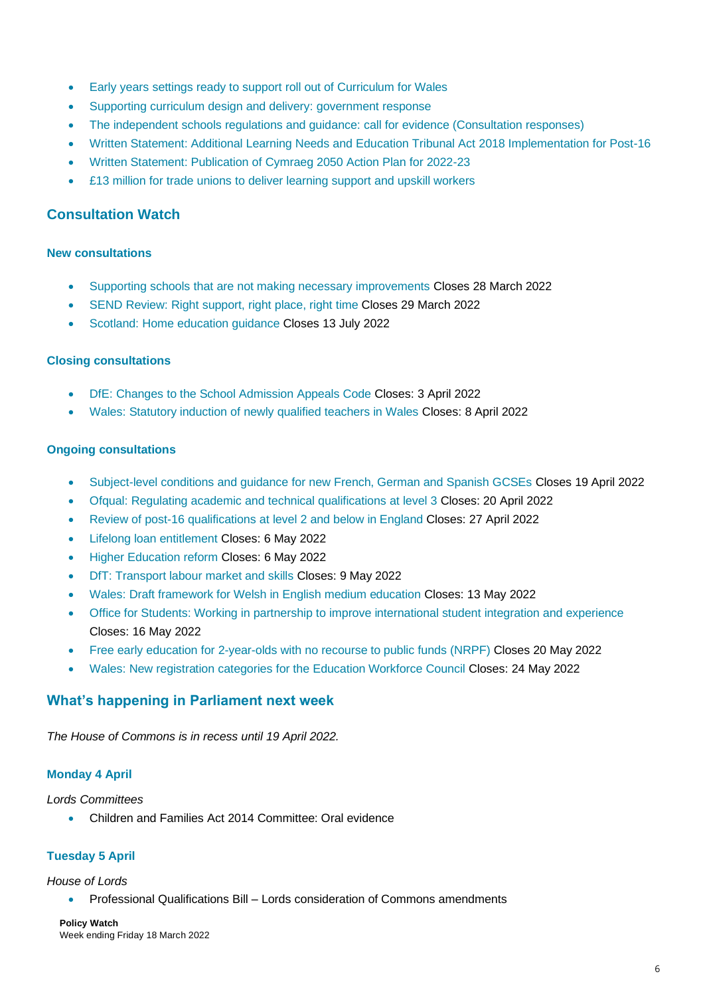- [Early years settings ready to support roll out of Curriculum for Wales](https://gov.wales/early-years-settings-ready-support-roll-out-curriculum-wales)
- [Supporting curriculum design and delivery: government response](https://gov.wales/supporting-curriculum-design-and-delivery-government-response)
- [The independent schools regulations and guidance: call for evidence \(Consultation responses\)](https://gov.wales/independent-schools-regulations-and-guidance-call-evidence)
- [Written Statement: Additional Learning Needs and Education Tribunal Act 2018 Implementation for Post-16](https://gov.wales/written-statement-additional-learning-needs-and-education-tribunal-act-2018-implementation-post-16)
- [Written Statement: Publication of Cymraeg 2050 Action Plan for 2022-23](https://gov.wales/written-statement-publication-cymraeg-2050-action-plan-2022-23)
- [£13 million for trade unions to deliver learning support and upskill workers](https://gov.wales/13-million-trade-unions-deliver-learning-support-and-upskill-workers)

# **Consultation Watch**

#### **New consultations**

- [Supporting schools that are not making necessary improvements](https://consult.education.gov.uk/intervention-policy-team/schools-that-are-not-making-necessary-improvements/) Closes 28 March 2022
- [SEND Review: Right support, right place, right time](https://consult.education.gov.uk/send-review-division/send-review-2022/) Closes 29 March 2022
- Scotland: Home [education guidance](https://www.gov.scot/publications/home-education-guidance-consultation/) Closes 13 July 2022

## **Closing consultations**

- [DfE: Changes to the School Admission Appeals Code](https://consult.education.gov.uk/school-admissions-team/changes-to-the-school-admission-appeals-code/) Closes: 3 April 2022
- [Wales: Statutory induction of newly qualified teachers in Wales](https://gov.wales/statutory-induction-newly-qualified-teachers-wales) Closes: 8 April 2022

#### **Ongoing consultations**

- [Subject-level conditions and guidance for new French, German and Spanish GCSEs](https://www.gov.uk/government/consultations/subject-level-conditions-and-guidance-for-new-french-german-and-spanish-gcses) Closes 19 April 2022
- [Ofqual: Regulating academic and technical qualifications at level 3](https://www.gov.uk/government/consultations/regulating-academic-and-technical-qualifications-at-level-3) Closes: 20 April 2022
- [Review of post-16 qualifications at level 2 and below in England](https://consult.education.gov.uk/post-16-qualifications-review-team/review-of-post-16-qualifications-at-level-2-and-be/) Closes: 27 April 2022
- [Lifelong loan entitlement](https://consult.education.gov.uk/lifelong-loan-entitlement/lifelong-loan-entitlement-consultation/) Closes: 6 May 2022
- [Higher Education reform](https://consult.education.gov.uk/higher-education-reform/higher-education-he-reform/) Closes: 6 May 2022
- [DfT: Transport labour market and skills](https://www.gov.uk/government/consultations/transport-labour-market-and-skills) Closes: 9 May 2022
- [Wales: Draft framework for Welsh in English medium education](https://gov.wales/draft-framework-welsh-english-medium-education) Closes: 13 May 2022
- [Office for Students: Working in partnership to improve international student integration and experience](https://www.officeforstudents.org.uk/publications/working-in-partnership-to-improve-international-student-integration-and-experience/) Closes: 16 May 2022
- [Free early education for 2-year-olds with no recourse to public funds \(NRPF\)](https://www.gov.uk/government/consultations/free-early-education-for-2-year-olds-with-no-recourse-to-public-funds-nrpf) Closes 20 May 2022
- [Wales: New registration categories for the Education Workforce Council](https://consult.education.gov.uk/post-16-qualifications-review-team/review-of-post-16-qualifications-at-level-2-and-be/) Closes: 24 May 2022

# **What's happening in Parliament next week**

*The House of Commons is in recess until 19 April 2022.*

## **Monday 4 April**

*Lords Committees*

• Children and Families Act 2014 Committee: Oral evidence

## **Tuesday 5 April**

#### *House of Lords*

• Professional Qualifications Bill – Lords consideration of Commons amendments

#### **Policy Watch** Week ending Friday 18 March 2022